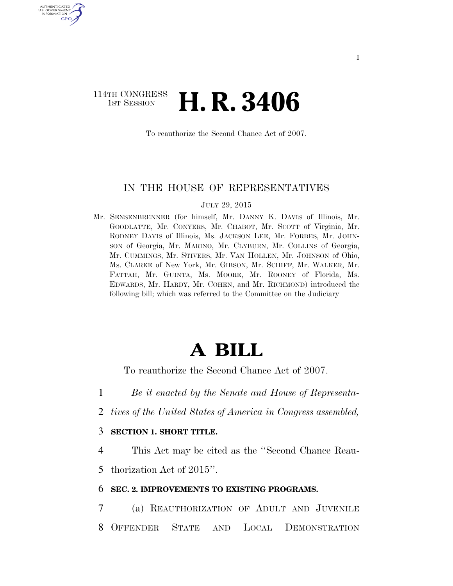## 114TH CONGRESS **1ST SESSION <b>H. R. 3406**

U.S. GOVERNMENT GPO

To reauthorize the Second Chance Act of 2007.

### IN THE HOUSE OF REPRESENTATIVES

#### JULY 29, 2015

Mr. SENSENBRENNER (for himself, Mr. DANNY K. DAVIS of Illinois, Mr. GOODLATTE, Mr. CONYERS, Mr. CHABOT, Mr. SCOTT of Virginia, Mr. RODNEY DAVIS of Illinois, Ms. JACKSON LEE, Mr. FORBES, Mr. JOHN-SON of Georgia, Mr. MARINO, Mr. CLYBURN, Mr. COLLINS of Georgia, Mr. CUMMINGS, Mr. STIVERS, Mr. VAN HOLLEN, Mr. JOHNSON of Ohio, Ms. CLARKE of New York, Mr. GIBSON, Mr. SCHIFF, Mr. WALKER, Mr. FATTAH, Mr. GUINTA, Ms. MOORE, Mr. ROONEY of Florida, Ms. EDWARDS, Mr. HARDY, Mr. COHEN, and Mr. RICHMOND) introduced the following bill; which was referred to the Committee on the Judiciary

# **A BILL**

To reauthorize the Second Chance Act of 2007.

1 *Be it enacted by the Senate and House of Representa-*

2 *tives of the United States of America in Congress assembled,* 

### 3 **SECTION 1. SHORT TITLE.**

4 This Act may be cited as the ''Second Chance Reau-5 thorization Act of 2015''.

### 6 **SEC. 2. IMPROVEMENTS TO EXISTING PROGRAMS.**

7 (a) REAUTHORIZATION OF ADULT AND JUVENILE 8 OFFENDER STATE AND LOCAL DEMONSTRATION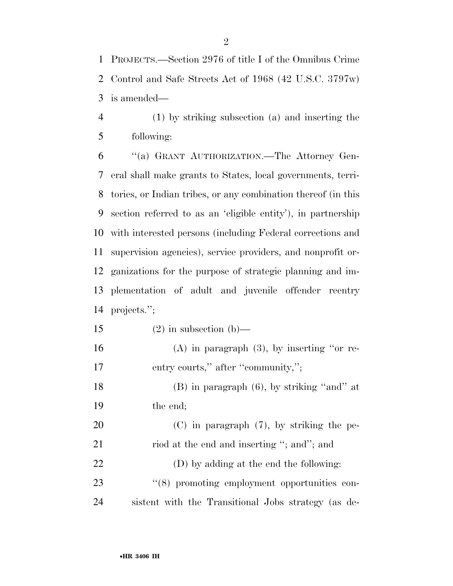PROJECTS.—Section 2976 of title I of the Omnibus Crime Control and Safe Streets Act of 1968 (42 U.S.C. 3797w) is amended—

 (1) by striking subsection (a) and inserting the following:

 ''(a) GRANT AUTHORIZATION.—The Attorney Gen- eral shall make grants to States, local governments, terri- tories, or Indian tribes, or any combination thereof (in this section referred to as an 'eligible entity'), in partnership with interested persons (including Federal corrections and supervision agencies), service providers, and nonprofit or- ganizations for the purpose of strategic planning and im- plementation of adult and juvenile offender reentry projects.'';

15 (2) in subsection (b)—

16 (A) in paragraph  $(3)$ , by inserting "or re-17 entry courts," after "community,";

 (B) in paragraph (6), by striking ''and'' at the end;

 (C) in paragraph (7), by striking the pe-21 riod at the end and inserting "; and"; and (D) by adding at the end the following:  $(8)$  promoting employment opportunities con-sistent with the Transitional Jobs strategy (as de-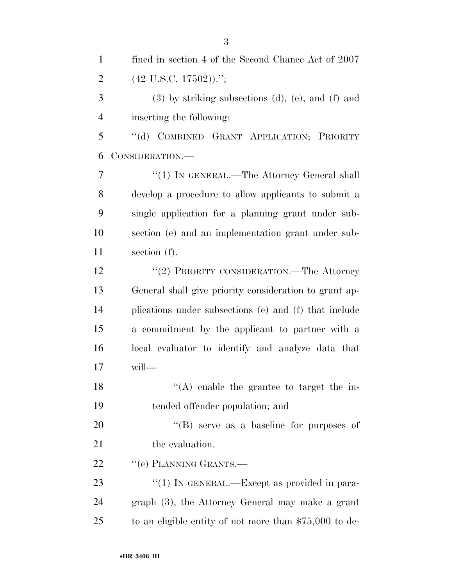| $\mathbf{1}$   | fined in section 4 of the Second Chance Act of 2007         |
|----------------|-------------------------------------------------------------|
| $\overline{2}$ | $(42 \text{ U.S.C. } 17502))$ .";                           |
| 3              | $(3)$ by striking subsections $(d)$ , $(e)$ , and $(f)$ and |
| $\overline{4}$ | inserting the following:                                    |
| 5              | COMBINED GRANT APPLICATION; PRIORITY<br>$\lq\lq (d)$        |
| 6              | CONSIDERATION.—                                             |
| 7              | "(1) IN GENERAL.—The Attorney General shall                 |
| 8              | develop a procedure to allow applicants to submit a         |
| 9              | single application for a planning grant under sub-          |
| 10             | section (e) and an implementation grant under sub-          |
| 11             | section $(f)$ .                                             |
| 12             | "(2) PRIORITY CONSIDERATION.—The Attorney                   |
| 13             | General shall give priority consideration to grant ap-      |
| 14             | plications under subsections (e) and (f) that include       |
| 15             | a commitment by the applicant to partner with a             |
| 16             | local evaluator to identify and analyze data that           |
| 17             | will-                                                       |
| 18             | $\lq\lq$ enable the grantee to target the in-               |
| 19             | tended offender population; and                             |
| 20             | "(B) serve as a baseline for purposes of                    |
| 21             | the evaluation.                                             |
| 22             | "(e) PLANNING GRANTS.—                                      |
| 23             | "(1) IN GENERAL.—Except as provided in para-                |
| 24             | graph (3), the Attorney General may make a grant            |
| 25             | to an eligible entity of not more than $$75,000$ to de-     |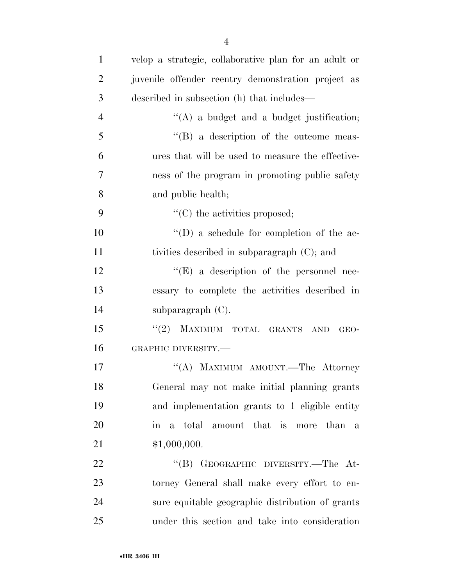| $\mathbf{1}$   | velop a strategic, collaborative plan for an adult or |
|----------------|-------------------------------------------------------|
| $\overline{2}$ | juvenile offender reentry demonstration project as    |
| 3              | described in subsection (h) that includes—            |
| $\overline{4}$ | $\lq\lq$ a budget and a budget justification;         |
| 5              | $\lq\lq (B)$ a description of the outcome meas-       |
| 6              | ures that will be used to measure the effective-      |
| 7              | ness of the program in promoting public safety        |
| 8              | and public health;                                    |
| 9              | $\lq\lq$ (C) the activities proposed;                 |
| 10             | $\lq\lq$ as schedule for completion of the ac-        |
| 11             | tivities described in subparagraph (C); and           |
| 12             | $\lq\lq(E)$ a description of the personnel nec-       |
| 13             | essary to complete the activities described in        |
| 14             | subparagraph $(C)$ .                                  |
| 15             | MAXIMUM TOTAL GRANTS AND<br>(2)<br>GEO-               |
| 16             | GRAPHIC DIVERSITY.-                                   |
| 17             | "(A) MAXIMUM AMOUNT.—The Attorney                     |
| 18             | General may not make initial planning grants          |
| 19             | and implementation grants to 1 eligible entity        |
| 20             | in a total amount that is more than<br>$\mathbf{a}$   |
| 21             | \$1,000,000.                                          |
| 22             | "(B) GEOGRAPHIC DIVERSITY.—The At-                    |
| 23             | torney General shall make every effort to en-         |
| 24             | sure equitable geographic distribution of grants      |
| 25             | under this section and take into consideration        |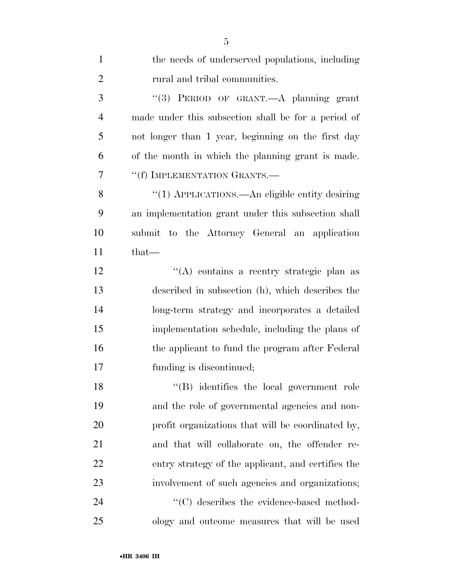| $\mathbf{1}$   | the needs of underserved populations, including     |
|----------------|-----------------------------------------------------|
| $\overline{2}$ | rural and tribal communities.                       |
| 3              | "(3) PERIOD OF GRANT.—A planning grant              |
| $\overline{4}$ | made under this subsection shall be for a period of |
| 5              | not longer than 1 year, beginning on the first day  |
| 6              | of the month in which the planning grant is made.   |
| 7              | "(f) IMPLEMENTATION GRANTS.-                        |
| 8              | "(1) APPLICATIONS.—An eligible entity desiring      |
| 9              | an implementation grant under this subsection shall |
| 10             | submit to the Attorney General an application       |
| 11             | $that-$                                             |
| 12             | "(A) contains a reentry strategic plan as           |
| 13             | described in subsection (h), which describes the    |
| 14             | long-term strategy and incorporates a detailed      |
| 15             | implementation schedule, including the plans of     |
| 16             | the applicant to fund the program after Federal     |
| 17             | funding is discontinued;                            |
| 18             | "(B) identifies the local government role           |
| 19             | and the role of governmental agencies and non-      |
| 20             | profit organizations that will be coordinated by,   |
| 21             | and that will collaborate on, the offender re-      |
| 22             | entry strategy of the applicant, and certifies the  |
| 23             | involvement of such agencies and organizations;     |
| 24             | "(C) describes the evidence-based method-           |
| 25             | ology and outcome measures that will be used        |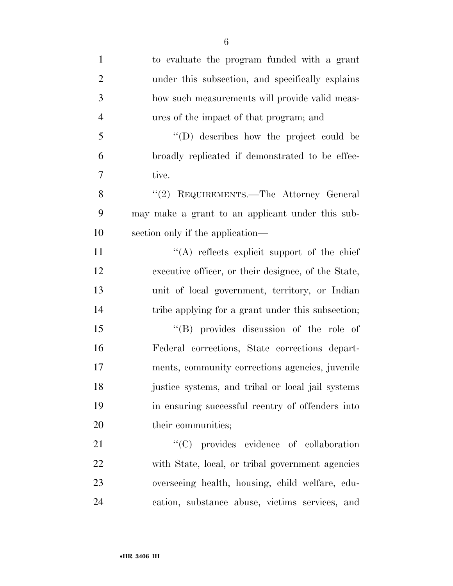| $\mathbf{1}$   | to evaluate the program funded with a grant         |
|----------------|-----------------------------------------------------|
| $\overline{2}$ | under this subsection, and specifically explains    |
| 3              | how such measurements will provide valid meas-      |
| $\overline{4}$ | ures of the impact of that program; and             |
| 5              | "(D) describes how the project could be             |
| 6              | broadly replicated if demonstrated to be effec-     |
| 7              | tive.                                               |
| 8              | "(2) REQUIREMENTS.—The Attorney General             |
| 9              | may make a grant to an applicant under this sub-    |
| 10             | section only if the application—                    |
| 11             | "(A) reflects explicit support of the chief         |
| 12             | executive officer, or their designee, of the State, |
| 13             | unit of local government, territory, or Indian      |
| 14             | tribe applying for a grant under this subsection;   |
| 15             | $\lq\lq(B)$ provides discussion of the role of      |
| 16             | Federal corrections, State corrections depart-      |
| 17             | ments, community corrections agencies, juvenile     |
| 18             | justice systems, and tribal or local jail systems   |
| 19             | in ensuring successful reentry of offenders into    |
| 20             | their communities;                                  |
| 21             | "(C) provides evidence of collaboration             |
| 22             | with State, local, or tribal government agencies    |
| 23             | overseeing health, housing, child welfare, edu-     |
| 24             | cation, substance abuse, victims services, and      |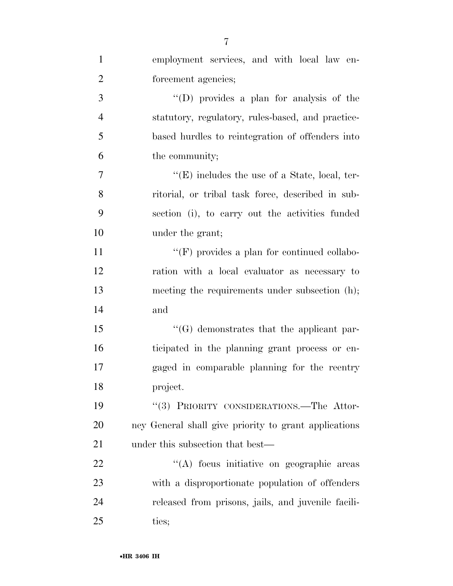| $\mathbf{1}$   | employment services, and with local law en-           |
|----------------|-------------------------------------------------------|
| $\overline{2}$ | forcement agencies;                                   |
| 3              | $\lq\lq$ (D) provides a plan for analysis of the      |
| $\overline{4}$ | statutory, regulatory, rules-based, and practice-     |
| 5              | based hurdles to reintegration of offenders into      |
| 6              | the community;                                        |
| 7              | $\lq\lq(E)$ includes the use of a State, local, ter-  |
| 8              | ritorial, or tribal task force, described in sub-     |
| 9              | section (i), to carry out the activities funded       |
| 10             | under the grant;                                      |
| 11             | $``(F)$ provides a plan for continued collabo-        |
| 12             | ration with a local evaluator as necessary to         |
| 13             | meeting the requirements under subsection (h);        |
| 14             | and                                                   |
| 15             | "(G) demonstrates that the applicant par-             |
| 16             | ticipated in the planning grant process or en-        |
| 17             | gaged in comparable planning for the reentry          |
| 18             | project.                                              |
| 19             | "(3) PRIORITY CONSIDERATIONS.—The Attor-              |
| 20             | ney General shall give priority to grant applications |
| 21             | under this subsection that best—                      |
| 22             | "(A) focus initiative on geographic areas             |
| 23             | with a disproportionate population of offenders       |
| 24             | released from prisons, jails, and juvenile facili-    |
| 25             | ties;                                                 |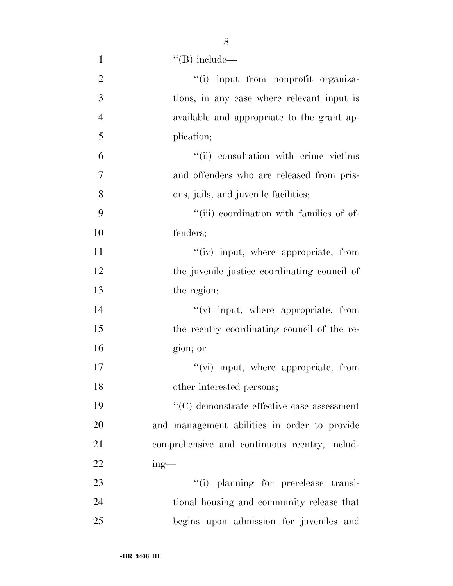| $\mathbf{1}$   | $\lq\lq(B)$ include—                           |
|----------------|------------------------------------------------|
| $\overline{2}$ | "(i) input from nonprofit organiza-            |
| $\overline{3}$ | tions, in any case where relevant input is     |
| $\overline{4}$ | available and appropriate to the grant ap-     |
| 5              | plication;                                     |
| 6              | "(ii) consultation with crime victims          |
| 7              | and offenders who are released from pris-      |
| 8              | ons, jails, and juvenile facilities;           |
| 9              | "(iii) coordination with families of of-       |
| 10             | fenders;                                       |
| 11             | "(iv) input, where appropriate, from           |
| 12             | the juvenile justice coordinating council of   |
| 13             | the region;                                    |
| 14             | $``(v)$ input, where appropriate, from         |
| 15             | the reentry coordinating council of the re-    |
| 16             | gion; or                                       |
| 17             | "(vi) input, where appropriate, from           |
| 18             | other interested persons;                      |
| 19             | $\lq\lq$ demonstrate effective case assessment |
| 20             | and management abilities in order to provide   |
| 21             | comprehensive and continuous reentry, includ-  |
| 22             | $ing$ —                                        |
| 23             | "(i) planning for prerelease transi-           |
| 24             | tional housing and community release that      |
| 25             | begins upon admission for juveniles and        |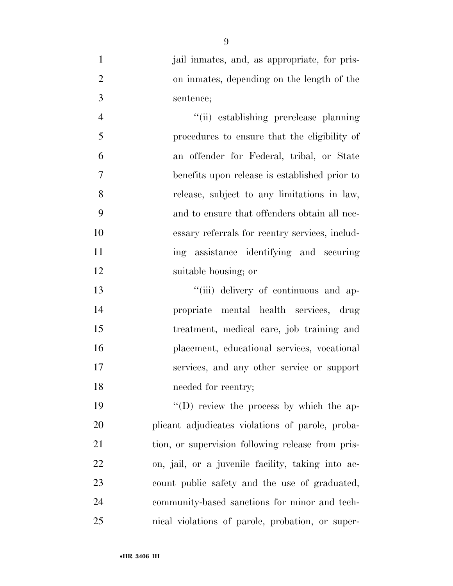| jail inmates, and, as appropriate, for pris- |
|----------------------------------------------|
| on inmates, depending on the length of the   |
| sentence;                                    |

 ''(ii) establishing prerelease planning procedures to ensure that the eligibility of an offender for Federal, tribal, or State benefits upon release is established prior to release, subject to any limitations in law, and to ensure that offenders obtain all nec- essary referrals for reentry services, includ- ing assistance identifying and securing suitable housing; or

 $"$ (iii) delivery of continuous and ap- propriate mental health services, drug treatment, medical care, job training and placement, educational services, vocational services, and any other service or support needed for reentry;

 $''(D)$  review the process by which the ap- plicant adjudicates violations of parole, proba-21 tion, or supervision following release from pris- on, jail, or a juvenile facility, taking into ac- count public safety and the use of graduated, community-based sanctions for minor and tech-nical violations of parole, probation, or super-

•**HR 3406 IH**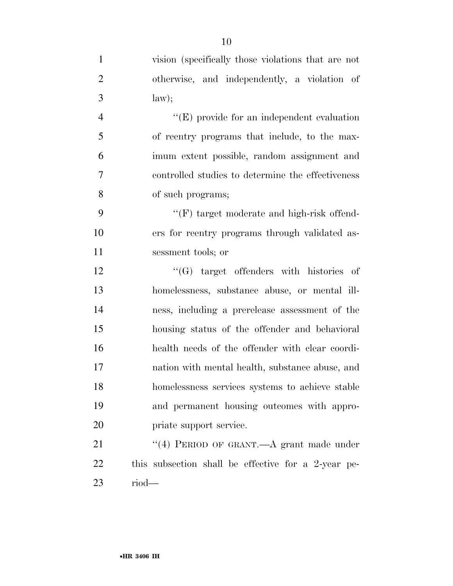| $\mathbf{1}$   | vision (specifically those violations that are not  |
|----------------|-----------------------------------------------------|
| $\overline{2}$ | otherwise, and independently, a violation of        |
| $\mathfrak{Z}$ | law);                                               |
| $\overline{4}$ | $\lq\lq(E)$ provide for an independent evaluation   |
| 5              | of reentry programs that include, to the max-       |
| 6              | imum extent possible, random assignment and         |
| $\tau$         | controlled studies to determine the effectiveness   |
| 8              | of such programs;                                   |
| 9              | "(F) target moderate and high-risk offend-          |
| 10             | ers for reentry programs through validated as-      |
| 11             | sessment tools; or                                  |
| 12             | $\lq\lq(G)$ target offenders with histories of      |
| 13             | homelessness, substance abuse, or mental ill-       |
| 14             | ness, including a prerelease assessment of the      |
| 15             | housing status of the offender and behavioral       |
| 16             | health needs of the offender with clear coordi-     |
| 17             | nation with mental health, substance abuse, and     |
| 18             | homelessness services systems to achieve stable     |
| 19             | and permanent housing outcomes with appro-          |
| 20             | priate support service.                             |
| 21             | "(4) PERIOD OF GRANT.—A grant made under            |
| 22             | this subsection shall be effective for a 2-year pe- |
| 23             | $riod$ —                                            |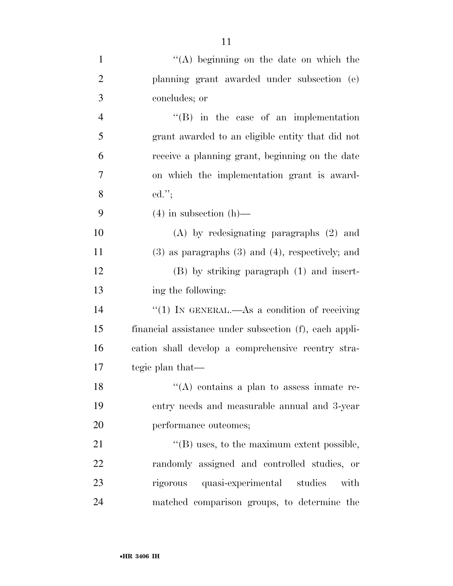| $\mathbf{1}$   | "(A) beginning on the date on which the                 |
|----------------|---------------------------------------------------------|
| $\overline{2}$ | planning grant awarded under subsection (e)             |
| $\mathfrak{Z}$ | concludes; or                                           |
| $\overline{4}$ | $\lq\lq$ (B) in the case of an implementation           |
| 5              | grant awarded to an eligible entity that did not        |
| 6              | receive a planning grant, beginning on the date         |
| $\overline{7}$ | on which the implementation grant is award-             |
| 8              | $ed.'$ ;                                                |
| 9              | $(4)$ in subsection $(h)$ —                             |
| 10             | $(A)$ by redesignating paragraphs $(2)$ and             |
| 11             | $(3)$ as paragraphs $(3)$ and $(4)$ , respectively; and |
| 12             | $(B)$ by striking paragraph $(1)$ and insert-           |
| 13             | ing the following:                                      |
| 14             | "(1) IN GENERAL.—As a condition of receiving            |
| 15             | financial assistance under subsection (f), each appli-  |
| 16             | cation shall develop a comprehensive reentry stra-      |
| 17             | tegic plan that—                                        |
| 18             | $\lq\lq$ contains a plan to assess in the re-           |
| 19             | entry needs and measurable annual and 3-year            |
| 20             | performance outcomes;                                   |
| 21             | $\lq\lq$ uses, to the maximum extent possible,          |
| 22             | randomly assigned and controlled studies, or            |
| 23             | rigorous quasi-experimental studies<br>with             |
| 24             | matched comparison groups, to determine the             |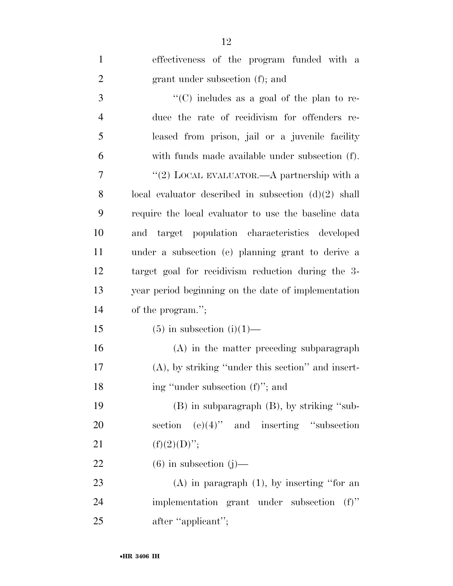| $\mathbf{1}$   | effectiveness of the program funded with a             |
|----------------|--------------------------------------------------------|
| $\overline{2}$ | grant under subsection (f); and                        |
| 3              | "(C) includes as a goal of the plan to re-             |
| $\overline{4}$ | duce the rate of recidivism for offenders re-          |
| 5              | leased from prison, jail or a juvenile facility        |
| 6              | with funds made available under subsection (f).        |
| 7              | "(2) LOCAL EVALUATOR.—A partnership with a             |
| 8              | local evaluator described in subsection $(d)(2)$ shall |
| 9              | require the local evaluator to use the baseline data   |
| 10             | and target population characteristics developed        |
| 11             | under a subsection (e) planning grant to derive a      |
| 12             | target goal for recidivism reduction during the 3-     |
| 13             | year period beginning on the date of implementation    |
| 14             | of the program.";                                      |
| 15             | $(5)$ in subsection $(i)(1)$ —                         |
| 16             | (A) in the matter preceding subparagraph               |
| 17             | $(A)$ , by striking "under this section" and insert-   |
| 18             | ing "under subsection (f)"; and                        |
| 19             | $(B)$ in subparagraph $(B)$ , by striking "sub-        |
| 20             | $(e)(4)$ " and inserting "subsection"<br>section       |
| 21             | $(f)(2)(D)$ ";                                         |
| 22             | $(6)$ in subsection $(j)$ —                            |
| 23             | $(A)$ in paragraph $(1)$ , by inserting "for an        |
| 24             | implementation grant under subsection<br>$(f)$ "       |
| 25             | after "applicant";                                     |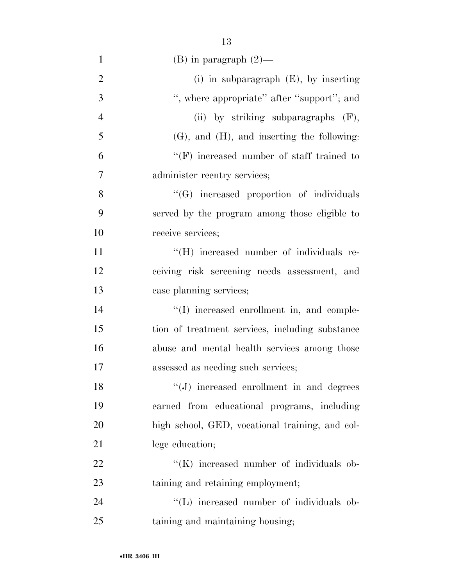| $\mathbf{1}$   | $(B)$ in paragraph $(2)$ —                       |
|----------------|--------------------------------------------------|
| $\overline{2}$ | (i) in subparagraph $(E)$ , by inserting         |
| 3              | ", where appropriate" after "support"; and       |
| $\overline{4}$ | (ii) by striking subparagraphs $(F)$ ,           |
| 5              | $(G)$ , and $(H)$ , and inserting the following: |
| 6              | $``(F)$ increased number of staff trained to     |
| $\overline{7}$ | administer reentry services;                     |
| 8              | "(G) increased proportion of individuals         |
| 9              | served by the program among those eligible to    |
| 10             | receive services;                                |
| 11             | "(H) increased number of individuals re-         |
| 12             | ceiving risk screening needs assessment, and     |
| 13             | case planning services;                          |
| 14             | "(I) increased enrollment in, and comple-        |
| 15             | tion of treatment services, including substance  |
| 16             | abuse and mental health services among those     |
| 17             | assessed as needing such services;               |
| 18             | "(J) increased enrollment in and degrees         |
| 19             | earned from educational programs, including      |
| 20             | high school, GED, vocational training, and col-  |
| 21             | lege education;                                  |
| 22             | "(K) increased number of individuals ob-         |
| 23             | taining and retaining employment;                |
| 24             | "(L) increased number of individuals ob-         |
| 25             | taining and maintaining housing;                 |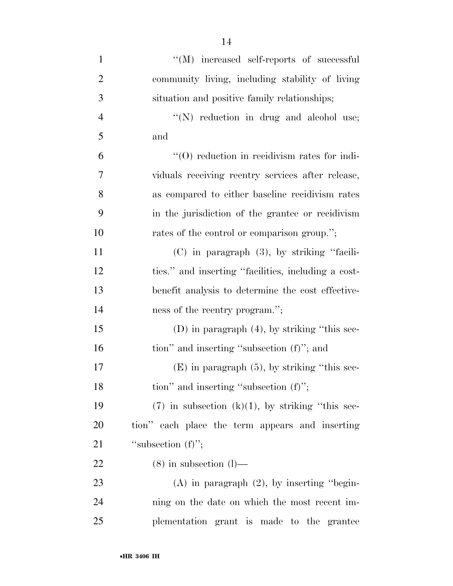| $\mathbf{1}$   | "(M) increased self-reports of successful             |
|----------------|-------------------------------------------------------|
| $\overline{2}$ | community living, including stability of living       |
| 3              | situation and positive family relationships;          |
| $\overline{4}$ | $\lq\lq(N)$ reduction in drug and alcohol use;        |
| 5              | and                                                   |
| 6              | $\cdot$ (O) reduction in recidivism rates for indi-   |
| 7              | viduals receiving reentry services after release,     |
| 8              | as compared to either baseline recidivism rates       |
| 9              | in the jurisdiction of the grantee or recidivism      |
| 10             | rates of the control or comparison group.";           |
| 11             | (C) in paragraph (3), by striking "facili-            |
| 12             | ties." and inserting "facilities, including a cost-   |
| 13             | benefit analysis to determine the cost effective-     |
| 14             | ness of the reentry program.";                        |
| 15             | $(D)$ in paragraph $(4)$ , by striking "this sec-     |
| 16             | tion" and inserting "subsection (f)"; and             |
| 17             | $(E)$ in paragraph $(5)$ , by striking "this sec-     |
| 18             | tion" and inserting "subsection $(f)$ ";              |
| 19             | $(7)$ in subsection $(k)(1)$ , by striking "this sec- |
| 20             | tion" each place the term appears and inserting       |
| 21             | "subsection $(f)$ ";                                  |
| 22             | $(8)$ in subsection $(l)$ —                           |
| 23             | $(A)$ in paragraph $(2)$ , by inserting "begin-       |
| 24             | ning on the date on which the most recent im-         |
| 25             | plementation grant is made to the grantee             |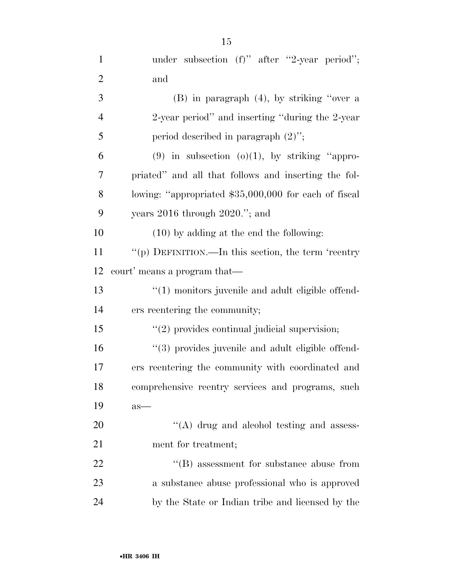| $\mathbf{1}$   | under subsection $(f)$ " after "2-year period";       |
|----------------|-------------------------------------------------------|
| $\overline{2}$ | and                                                   |
| 3              | $(B)$ in paragraph $(4)$ , by striking "over a        |
| $\overline{4}$ | 2-year period" and inserting "during the 2-year"      |
| 5              | period described in paragraph $(2)$ ";                |
| 6              | $(9)$ in subsection $(o)(1)$ , by striking "appro-    |
| 7              | priated" and all that follows and inserting the fol-  |
| 8              | lowing: "appropriated \$35,000,000 for each of fiscal |
| 9              | years $2016$ through $2020$ ."; and                   |
| 10             | $(10)$ by adding at the end the following:            |
| 11             | "(p) DEFINITION.—In this section, the term 'reentry   |
| 12             | court' means a program that—                          |
| 13             | $\lq(1)$ monitors juvenile and adult eligible offend- |
| 14             | ers reentering the community;                         |
| 15             | $"(2)$ provides continual judicial supervision;       |
| 16             | "(3) provides juvenile and adult eligible offend-     |
| 17             | ers reentering the community with coordinated and     |
| 18             | comprehensive reentry services and programs, such     |
| 19             | $as-$                                                 |
| 20             | $\lq\lq$ drug and alcohol testing and assess-         |
| 21             | ment for treatment;                                   |
| 22             | $\lq\lq$ assessment for substance abuse from          |
| 23             | a substance abuse professional who is approved        |
| 24             | by the State or Indian tribe and licensed by the      |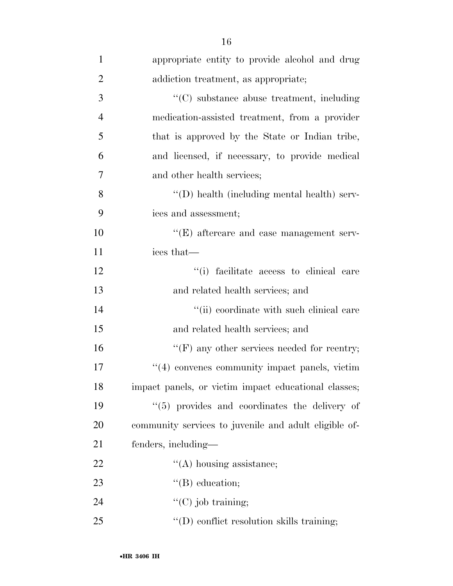| $\mathbf{1}$   | appropriate entity to provide alcohol and drug        |
|----------------|-------------------------------------------------------|
| $\overline{2}$ | addiction treatment, as appropriate;                  |
| 3              | "(C) substance abuse treatment, including             |
| $\overline{4}$ | medication-assisted treatment, from a provider        |
| 5              | that is approved by the State or Indian tribe,        |
| 6              | and licensed, if necessary, to provide medical        |
| $\overline{7}$ | and other health services;                            |
| 8              | "(D) health (including mental health) serv-           |
| 9              | ices and assessment;                                  |
| 10             | $\lq\lq(E)$ aftercare and case management serv-       |
| 11             | ices that—                                            |
| 12             | "(i) facilitate access to clinical care               |
| 13             | and related health services; and                      |
| 14             | "(ii) coordinate with such clinical care              |
| 15             | and related health services; and                      |
| 16             | $\lq\lq(F)$ any other services needed for reentry;    |
| 17             | "(4) convenes community impact panels, victim         |
| 18             | impact panels, or victim impact educational classes;  |
| 19             | "(5) provides and coordinates the delivery of         |
| 20             | community services to juvenile and adult eligible of- |
| 21             | fenders, including—                                   |
| 22             | $\lq\lq$ housing assistance;                          |
| 23             | $\lq\lq(B)$ education;                                |
| 24             | $\lq\lq$ (C) job training;                            |
| 25             | $\lq\lq$ (D) conflict resolution skills training;     |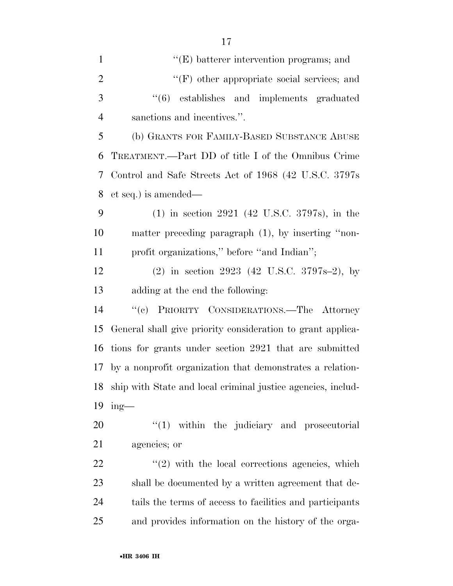| $\mathbf{1}$   | $\lq\lq(E)$ batterer intervention programs; and                     |
|----------------|---------------------------------------------------------------------|
| $\overline{2}$ | $\lq\lq(F)$ other appropriate social services; and                  |
| 3              | $\cdot\cdot\cdot(6)$ establishes and implements graduated           |
| $\overline{4}$ | sanctions and incentives.".                                         |
| 5              | (b) GRANTS FOR FAMILY-BASED SUBSTANCE ABUSE                         |
| 6              | TREATMENT.—Part DD of title I of the Omnibus Crime                  |
| 7              | Control and Safe Streets Act of 1968 (42 U.S.C. 3797s)              |
| 8              | et seq.) is amended—                                                |
| 9              | $(1)$ in section 2921 (42 U.S.C. 3797s), in the                     |
| 10             | matter preceding paragraph (1), by inserting "non-                  |
| 11             | profit organizations," before "and Indian";                         |
| 12             | $(2)$ in section 2923 $(42 \text{ U.S.C. } 3797 \text{s} - 2)$ , by |
| 13             | adding at the end the following:                                    |
| 14             | "(c) PRIORITY CONSIDERATIONS.—The Attorney                          |
| 15             | General shall give priority consideration to grant applica-         |
| 16             | tions for grants under section 2921 that are submitted              |
| 17             | by a nonprofit organization that demonstrates a relation-           |
| 18             | ship with State and local criminal justice agencies, includ-        |
| 19             | $ing$ —                                                             |
| 20             | $\lq(1)$ within the judiciary and prosecutorial                     |
| 21             | agencies; or                                                        |
| 22             | $\lq(2)$ with the local corrections agencies, which                 |
| 23             | shall be documented by a written agreement that de-                 |
| 24             | tails the terms of access to facilities and participants            |

and provides information on the history of the orga-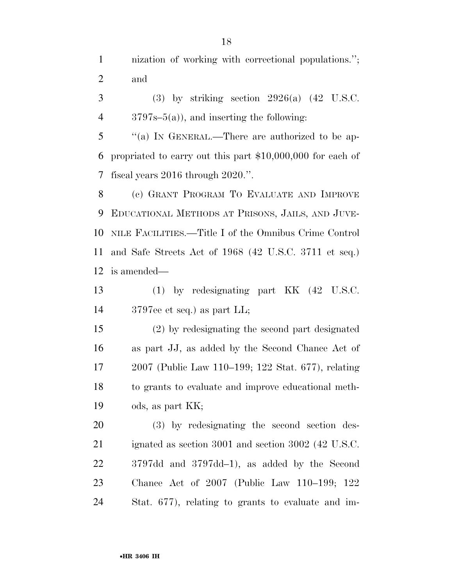nization of working with correctional populations.''; and

 $3 \qquad (3)$  by striking section  $2926(a)$  (42 U.S.C. 3797s–5(a)), and inserting the following:

 ''(a) IN GENERAL.—There are authorized to be ap- propriated to carry out this part \$10,000,000 for each of fiscal years 2016 through 2020.''.

 (c) GRANT PROGRAM TO EVALUATE AND IMPROVE EDUCATIONAL METHODS AT PRISONS, JAILS, AND JUVE- NILE FACILITIES.—Title I of the Omnibus Crime Control and Safe Streets Act of 1968 (42 U.S.C. 3711 et seq.) is amended—

 (1) by redesignating part KK (42 U.S.C. 3797ee et seq.) as part LL;

 (2) by redesignating the second part designated as part JJ, as added by the Second Chance Act of 2007 (Public Law 110–199; 122 Stat. 677), relating to grants to evaluate and improve educational meth-ods, as part KK;

 (3) by redesignating the second section des- ignated as section 3001 and section 3002 (42 U.S.C. 3797dd and 3797dd–1), as added by the Second Chance Act of 2007 (Public Law 110–199; 122 Stat. 677), relating to grants to evaluate and im-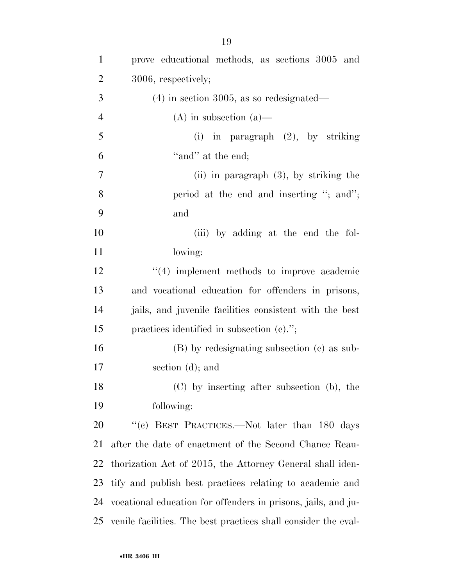| $\mathbf{1}$   | prove educational methods, as sections 3005 and                |
|----------------|----------------------------------------------------------------|
| $\overline{2}$ | 3006, respectively;                                            |
| 3              | $(4)$ in section 3005, as so redesignated—                     |
| $\overline{4}$ | $(A)$ in subsection $(a)$ —                                    |
| 5              | (i) in paragraph $(2)$ , by striking                           |
| 6              | "and" at the end;                                              |
| $\overline{7}$ | $(ii)$ in paragraph $(3)$ , by striking the                    |
| 8              | period at the end and inserting "; and";                       |
| 9              | and                                                            |
| 10             | (iii) by adding at the end the fol-                            |
| 11             | lowing:                                                        |
| 12             | $"(4)$ implement methods to improve academic                   |
| 13             | and vocational education for offenders in prisons,             |
| 14             | jails, and juvenile facilities consistent with the best        |
| 15             | practices identified in subsection $(c)$ .";                   |
| 16             | (B) by redesignating subsection (c) as sub-                    |
| 17             | section (d); and                                               |
| 18             | (C) by inserting after subsection (b), the                     |
| 19             | following:                                                     |
| 20             | "(c) BEST PRACTICES.—Not later than 180 days                   |
| 21             | after the date of enactment of the Second Chance Reau-         |
| 22             | thorization Act of 2015, the Attorney General shall iden-      |
| 23             | tify and publish best practices relating to academic and       |
| 24             | vocational education for offenders in prisons, jails, and ju-  |
| 25             | venile facilities. The best practices shall consider the eval- |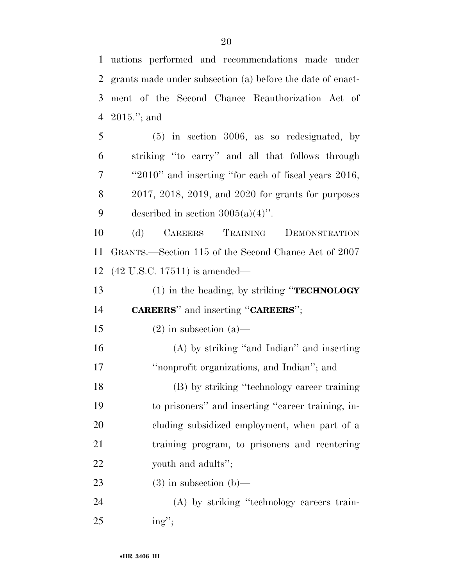uations performed and recommendations made under grants made under subsection (a) before the date of enact- ment of the Second Chance Reauthorization Act of 2015.''; and

 (5) in section 3006, as so redesignated, by striking ''to carry'' and all that follows through ''2010'' and inserting ''for each of fiscal years 2016, 2017, 2018, 2019, and 2020 for grants for purposes 9 described in section  $3005(a)(4)$ ".

 (d) CAREERS TRAINING DEMONSTRATION GRANTS.—Section 115 of the Second Chance Act of 2007 (42 U.S.C. 17511) is amended—

 (1) in the heading, by striking ''**TECHNOLOGY CAREERS**'' and inserting ''**CAREERS**'';

15 (2) in subsection (a)—

 (A) by striking ''and Indian'' and inserting 17 <sup>"</sup>nonprofit organizations, and Indian"; and

 (B) by striking ''technology career training to prisoners'' and inserting ''career training, in- cluding subsidized employment, when part of a training program, to prisoners and reentering youth and adults'';

23 (3) in subsection  $(b)$ —

 (A) by striking ''technology careers train-ing'';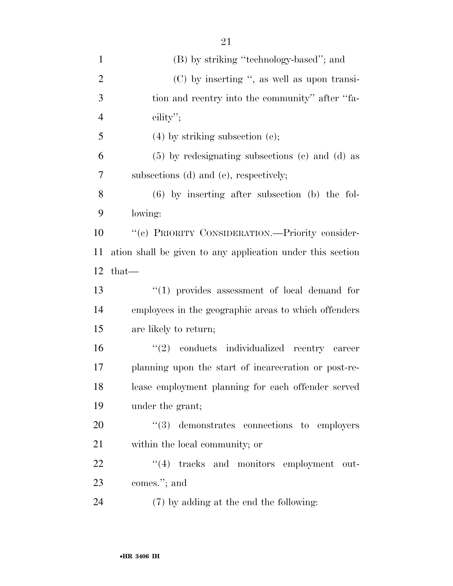| $\mathbf{1}$   | (B) by striking "technology-based"; and                    |
|----------------|------------------------------------------------------------|
| $\overline{2}$ | (C) by inserting ", as well as upon transi-                |
| 3              | tion and reentry into the community" after "fa-            |
| $\overline{4}$ | cility";                                                   |
| 5              | $(4)$ by striking subsection $(e)$ ;                       |
| 6              | $(5)$ by redesignating subsections $(c)$ and $(d)$ as      |
| 7              | subsections (d) and (e), respectively;                     |
| 8              | $(6)$ by inserting after subsection $(b)$ the fol-         |
| 9              | lowing:                                                    |
| 10             | "(c) PRIORITY CONSIDERATION.—Priority consider-            |
| 11             | ation shall be given to any application under this section |
| 12             | $that$ —                                                   |
| 13             | $``(1)$ provides assessment of local demand for            |
| 14             | employees in the geographic areas to which offenders       |
| 15             | are likely to return;                                      |
| 16             | "(2) conducts individualized reentry career                |
| 17             | planning upon the start of incarceration or post-re-       |
| 18             | lease employment planning for each offender served         |
| 19             | under the grant;                                           |
| 20             | $\cdot\cdot\cdot(3)$ demonstrates connections to employers |
| 21             | within the local community; or                             |
| 22             | "(4) tracks and monitors employment out-                   |
| 23             | comes."; and                                               |
| 24             | (7) by adding at the end the following:                    |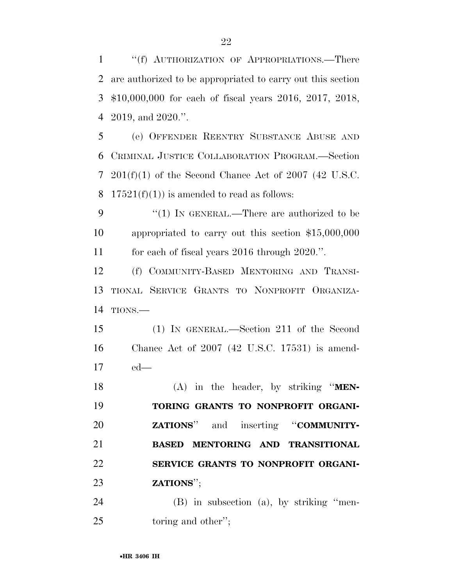''(f) AUTHORIZATION OF APPROPRIATIONS.—There are authorized to be appropriated to carry out this section \$10,000,000 for each of fiscal years 2016, 2017, 2018, 2019, and 2020.''.

 (e) OFFENDER REENTRY SUBSTANCE ABUSE AND CRIMINAL JUSTICE COLLABORATION PROGRAM.—Section 201(f)(1) of the Second Chance Act of 2007 (42 U.S.C. 8 17521(f)(1)) is amended to read as follows:

9 "(1) In GENERAL.—There are authorized to be appropriated to carry out this section \$15,000,000 for each of fiscal years 2016 through 2020.''.

 (f) COMMUNITY-BASED MENTORING AND TRANSI- TIONAL SERVICE GRANTS TO NONPROFIT ORGANIZA-TIONS.—

 (1) IN GENERAL.—Section 211 of the Second Chance Act of 2007 (42 U.S.C. 17531) is amend-ed—

 (A) in the header, by striking ''**MEN- TORING GRANTS TO NONPROFIT ORGANI- ZATIONS**'' and inserting ''**COMMUNITY- BASED MENTORING AND TRANSITIONAL SERVICE GRANTS TO NONPROFIT ORGANI-ZATIONS**'';

 (B) in subsection (a), by striking ''men-25 toring and other":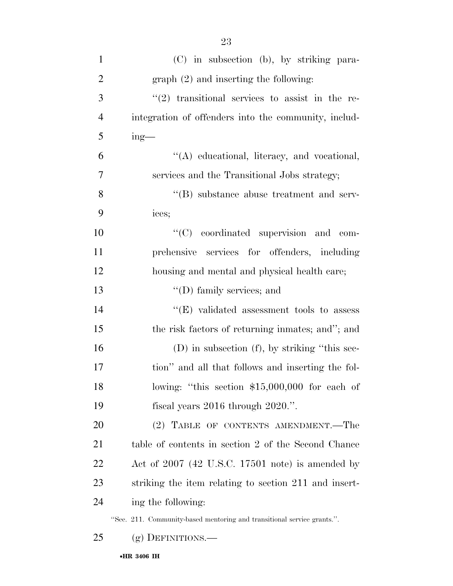| $\mathbf{1}$   | (C) in subsection (b), by striking para-                                |
|----------------|-------------------------------------------------------------------------|
| $\overline{2}$ | $graph (2)$ and inserting the following:                                |
| 3              | $(2)$ transitional services to assist in the re-                        |
| $\overline{4}$ | integration of offenders into the community, includ-                    |
| 5              | $ing$ —                                                                 |
| 6              | "(A) educational, literacy, and vocational,                             |
| 7              | services and the Transitional Jobs strategy;                            |
| 8              | $\cdot$ <sup>"</sup> (B) substance abuse treatment and serv-            |
| 9              | ices;                                                                   |
| 10             | "(C) coordinated supervision and com-                                   |
| 11             | prehensive services for offenders, including                            |
| 12             | housing and mental and physical health care;                            |
| 13             | $\lq\lq$ (D) family services; and                                       |
| 14             | $\lq\lq$ (E) validated assessment tools to assess                       |
| 15             | the risk factors of returning inmates; and"; and                        |
| 16             | $(D)$ in subsection $(f)$ , by striking "this sec-                      |
| 17             | tion" and all that follows and inserting the fol-                       |
| 18             | lowing: "this section $$15,000,000$ for each of                         |
| 19             | fiscal years $2016$ through $2020$ .".                                  |
| 20             | (2) TABLE OF CONTENTS AMENDMENT.—The                                    |
| 21             | table of contents in section 2 of the Second Chance                     |
| 22             | Act of $2007$ (42 U.S.C. 17501 note) is amended by                      |
| 23             | striking the item relating to section 211 and insert-                   |
| 24             | ing the following:                                                      |
|                | "Sec. 211. Community-based mentoring and transitional service grants.". |
| 25             | $(g)$ DEFINITIONS.—                                                     |

•**HR 3406 IH**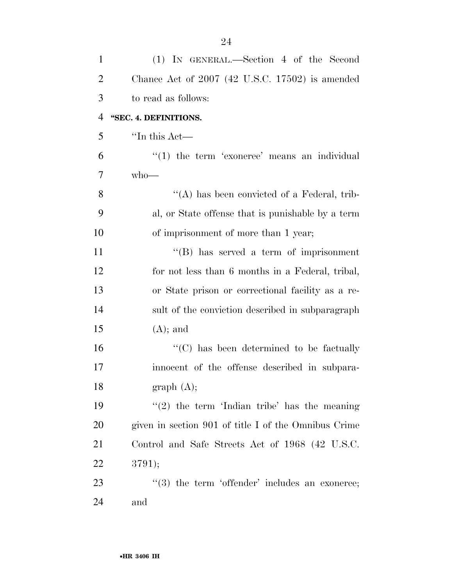| $\mathbf{1}$   | (1) IN GENERAL.—Section 4 of the Second                        |
|----------------|----------------------------------------------------------------|
| $\overline{2}$ | Chance Act of $2007$ (42 U.S.C. 17502) is amended              |
| 3              | to read as follows:                                            |
| $\overline{4}$ | "SEC. 4. DEFINITIONS.                                          |
| 5              | "In this Act-                                                  |
| 6              | $"(1)$ the term 'exoneree' means an individual                 |
| 7              | $who$ —                                                        |
| 8              | "(A) has been convicted of a Federal, trib-                    |
| 9              | al, or State offense that is punishable by a term              |
| 10             | of imprisonment of more than 1 year;                           |
| 11             | $\lq\lq (B)$ has served a term of imprisonment                 |
| 12             | for not less than 6 months in a Federal, tribal,               |
| 13             | or State prison or correctional facility as a re-              |
| 14             | sult of the conviction described in subparagraph               |
| 15             | $(A);$ and                                                     |
| 16             | "(C) has been determined to be factually                       |
| 17             | innocent of the offense described in subpara-                  |
| 18             | graph(A);                                                      |
| 19             | $\lq(2)$ the term 'Indian tribe' has the meaning               |
| 20             | given in section 901 of title I of the Omnibus Crime           |
| 21             | Control and Safe Streets Act of 1968 (42 U.S.C.                |
| 22             | 3791);                                                         |
| 23             | $\cdot\cdot\cdot(3)$ the term 'offender' includes an exoneree; |
| 24             | and                                                            |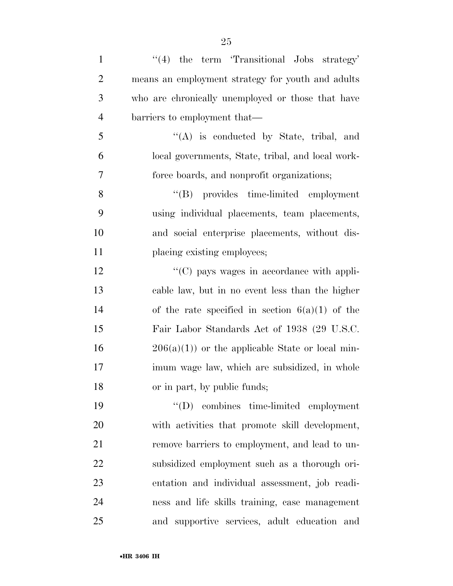| $\mathbf{1}$   | $\lq(4)$ the term 'Transitional Jobs strategy'    |
|----------------|---------------------------------------------------|
| 2              | means an employment strategy for youth and adults |
| 3              | who are chronically unemployed or those that have |
| $\overline{4}$ | barriers to employment that—                      |
| 5              | $\lq\lq$ is conducted by State, tribal, and       |
| 6              | local governments, State, tribal, and local work- |
| 7              | force boards, and nonprofit organizations;        |
| 8              | "(B) provides time-limited employment             |

 using individual placements, team placements, and social enterprise placements, without dis-11 placing existing employees;

 $\langle ^{\prime}(C) \rangle$  pays wages in accordance with appli- cable law, but in no event less than the higher 14 of the rate specified in section  $6(a)(1)$  of the Fair Labor Standards Act of 1938 (29 U.S.C.  $16 \qquad \qquad 206(a)(1)$  or the applicable State or local min- imum wage law, which are subsidized, in whole or in part, by public funds;

 ''(D) combines time-limited employment with activities that promote skill development, remove barriers to employment, and lead to un- subsidized employment such as a thorough ori- entation and individual assessment, job readi- ness and life skills training, case management and supportive services, adult education and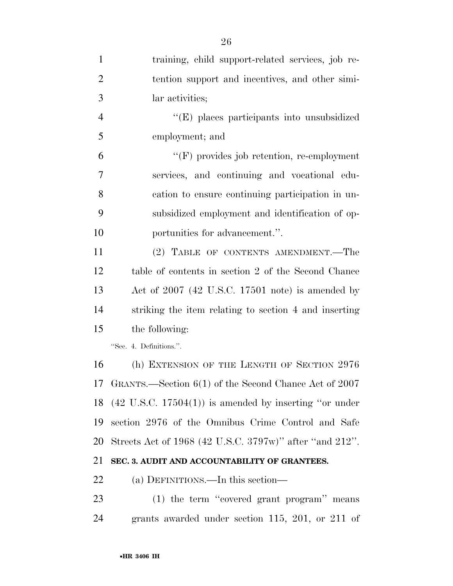| $\mathbf{1}$   | training, child support-related services, job re-                 |
|----------------|-------------------------------------------------------------------|
| $\overline{2}$ | tention support and incentives, and other simi-                   |
| 3              | lar activities;                                                   |
| $\overline{4}$ | "(E) places participants into unsubsidized                        |
| 5              | employment; and                                                   |
| 6              | $\lq\lq(F)$ provides job retention, re-employment                 |
| $\overline{7}$ | services, and continuing and vocational edu-                      |
| 8              | cation to ensure continuing participation in un-                  |
| 9              | subsidized employment and identification of op-                   |
| 10             | portunities for advancement.".                                    |
| 11             | (2) TABLE OF CONTENTS AMENDMENT.—The                              |
| 12             | table of contents in section 2 of the Second Chance               |
| 13             | Act of $2007$ (42 U.S.C. 17501 note) is amended by                |
| 14             | striking the item relating to section 4 and inserting             |
| 15             | the following:                                                    |
|                | "Sec. 4. Definitions.".                                           |
| 16             | (h) EXTENSION OF THE LENGTH OF SECTION 2976                       |
|                | 17 GRANTS.—Section 6(1) of the Second Chance Act of 2007          |
| 18             | $(42 \text{ U.S.C. } 17504(1))$ is amended by inserting "or under |
| 19             | section 2976 of the Omnibus Crime Control and Safe                |
| 20             | Streets Act of 1968 (42 U.S.C. 3797w)" after "and 212".           |
| 21             | SEC. 3. AUDIT AND ACCOUNTABILITY OF GRANTEES.                     |
| 22             | (a) DEFINITIONS.—In this section—                                 |
| 23             | (1) the term "covered grant program" means                        |
| 24             | grants awarded under section 115, 201, or 211 of                  |
|                |                                                                   |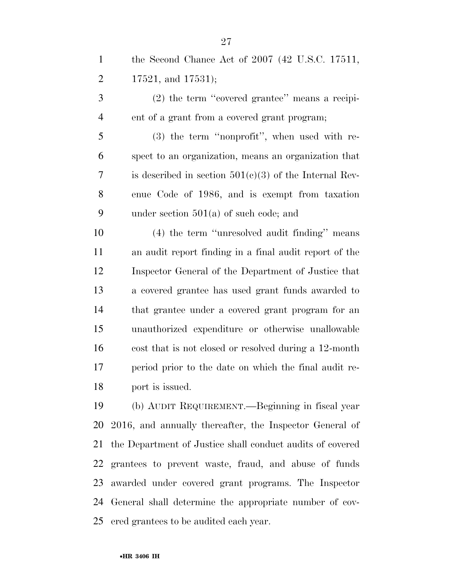the Second Chance Act of 2007 (42 U.S.C. 17511,  $2 \qquad 17521, \text{ and } 17531$ ;

 (2) the term ''covered grantee'' means a recipi-ent of a grant from a covered grant program;

 (3) the term ''nonprofit'', when used with re- spect to an organization, means an organization that 7 is described in section  $501(c)(3)$  of the Internal Rev- enue Code of 1986, and is exempt from taxation under section 501(a) of such code; and

 (4) the term ''unresolved audit finding'' means an audit report finding in a final audit report of the Inspector General of the Department of Justice that a covered grantee has used grant funds awarded to that grantee under a covered grant program for an unauthorized expenditure or otherwise unallowable cost that is not closed or resolved during a 12-month period prior to the date on which the final audit re-port is issued.

 (b) AUDIT REQUIREMENT.—Beginning in fiscal year 2016, and annually thereafter, the Inspector General of the Department of Justice shall conduct audits of covered grantees to prevent waste, fraud, and abuse of funds awarded under covered grant programs. The Inspector General shall determine the appropriate number of cov-ered grantees to be audited each year.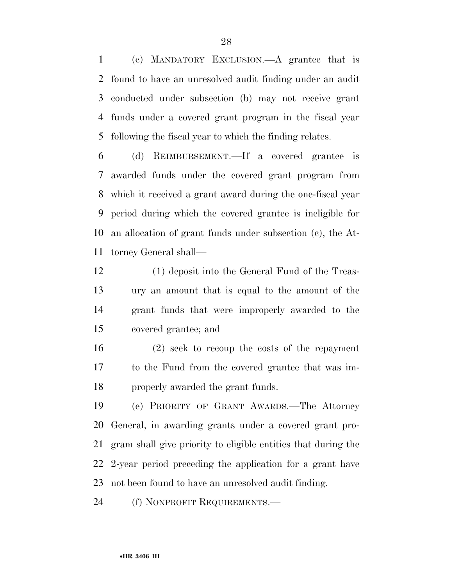(c) MANDATORY EXCLUSION.—A grantee that is found to have an unresolved audit finding under an audit conducted under subsection (b) may not receive grant funds under a covered grant program in the fiscal year following the fiscal year to which the finding relates.

 (d) REIMBURSEMENT.—If a covered grantee is awarded funds under the covered grant program from which it received a grant award during the one-fiscal year period during which the covered grantee is ineligible for an allocation of grant funds under subsection (c), the At-torney General shall—

 (1) deposit into the General Fund of the Treas- ury an amount that is equal to the amount of the grant funds that were improperly awarded to the covered grantee; and

 (2) seek to recoup the costs of the repayment to the Fund from the covered grantee that was im-properly awarded the grant funds.

 (e) PRIORITY OF GRANT AWARDS.—The Attorney General, in awarding grants under a covered grant pro- gram shall give priority to eligible entities that during the 2-year period preceding the application for a grant have not been found to have an unresolved audit finding.

(f) NONPROFIT REQUIREMENTS.—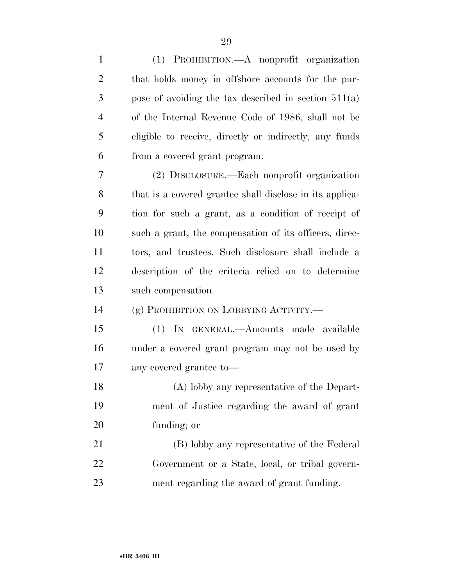| $\mathbf{1}$   | (1) PROHIBITION.—A nonprofit organization                |
|----------------|----------------------------------------------------------|
| $\overline{2}$ | that holds money in offshore accounts for the pur-       |
| 3              | pose of avoiding the tax described in section $511(a)$   |
| $\overline{4}$ | of the Internal Revenue Code of 1986, shall not be       |
| 5              | eligible to receive, directly or indirectly, any funds   |
| 6              | from a covered grant program.                            |
| 7              | (2) DISCLOSURE.—Each nonprofit organization              |
| 8              | that is a covered grantee shall disclose in its applica- |
| 9              | tion for such a grant, as a condition of receipt of      |
| 10             | such a grant, the compensation of its officers, direc-   |
| 11             | tors, and trustees. Such disclosure shall include a      |
| 12             | description of the criteria relied on to determine       |
| 13             | such compensation.                                       |
| 14             | (g) PROHIBITION ON LOBBYING ACTIVITY.                    |
| 15             | (1) IN GENERAL.—Amounts made available                   |
| 16             | under a covered grant program may not be used by         |
| 17             | any covered grantee to-                                  |
| 18             | (A) lobby any representative of the Depart-              |
| 19             | ment of Justice regarding the award of grant             |
| 20             | funding; or                                              |
| 21             | (B) lobby any representative of the Federal              |
| 22             | Government or a State, local, or tribal govern-          |
| 23             | ment regarding the award of grant funding.               |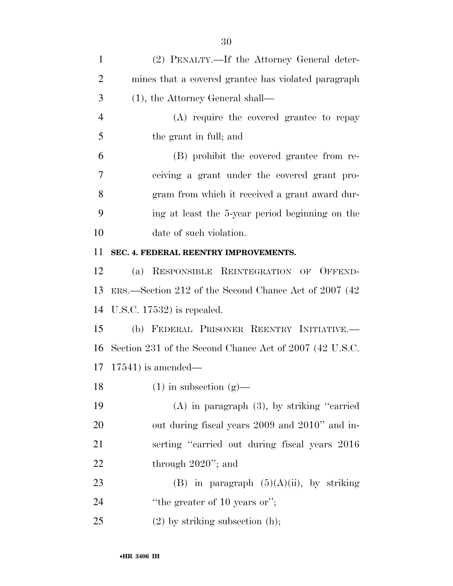| $\mathbf{1}$   | (2) PENALTY.—If the Attorney General deter-             |
|----------------|---------------------------------------------------------|
| $\overline{2}$ | mines that a covered grantee has violated paragraph     |
| 3              | $(1)$ , the Attorney General shall—                     |
| $\overline{4}$ | (A) require the covered grantee to repay                |
| 5              | the grant in full; and                                  |
| 6              | (B) prohibit the covered grantee from re-               |
| 7              | ceiving a grant under the covered grant pro-            |
| 8              | gram from which it received a grant award dur-          |
| 9              | ing at least the 5-year period beginning on the         |
| 10             | date of such violation.                                 |
| 11             | SEC. 4. FEDERAL REENTRY IMPROVEMENTS.                   |
| 12             | (a) RESPONSIBLE REINTEGRATION OF OFFEND-                |
| 13             | ERS.—Section 212 of the Second Chance Act of 2007 (42)  |
| 14             | U.S.C. $17532$ ) is repealed.                           |
| 15             | (b) FEDERAL PRISONER REENTRY INITIATIVE.                |
| 16             | Section 231 of the Second Chance Act of 2007 (42 U.S.C. |
| 17             | $17541$ ) is amended—                                   |
| 18             | $(1)$ in subsection $(g)$ —                             |
| 19             | $(A)$ in paragraph $(3)$ , by striking "carried         |
| <b>20</b>      | out during fiscal years 2009 and 2010" and in-          |
| 21             | serting "carried out during fiscal years 2016           |
| 22             | through $2020$ "; and                                   |
| 23             | (B) in paragraph $(5)(A)(ii)$ , by striking             |
| 24             | "the greater of $10$ years or";                         |
| 25             | $(2)$ by striking subsection $(h)$ ;                    |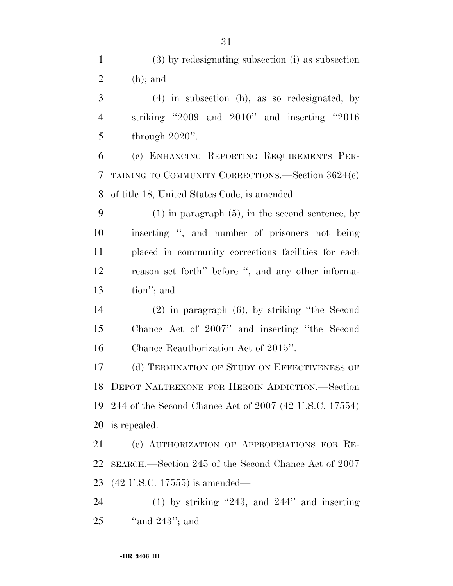(3) by redesignating subsection (i) as subsection 2 (h); and

 (4) in subsection (h), as so redesignated, by striking ''2009 and 2010'' and inserting ''2016 through 2020''.

 (c) ENHANCING REPORTING REQUIREMENTS PER- TAINING TO COMMUNITY CORRECTIONS.—Section 3624(c) of title 18, United States Code, is amended—

 (1) in paragraph (5), in the second sentence, by inserting '', and number of prisoners not being placed in community corrections facilities for each reason set forth'' before '', and any other informa-tion''; and

 (2) in paragraph (6), by striking ''the Second Chance Act of 2007'' and inserting ''the Second Chance Reauthorization Act of 2015''.

 (d) TERMINATION OF STUDY ON EFFECTIVENESS OF DEPOT NALTREXONE FOR HEROIN ADDICTION.—Section 244 of the Second Chance Act of 2007 (42 U.S.C. 17554) is repealed.

 (e) AUTHORIZATION OF APPROPRIATIONS FOR RE- SEARCH.—Section 245 of the Second Chance Act of 2007 (42 U.S.C. 17555) is amended—

 (1) by striking ''243, and 244'' and inserting ''and 243''; and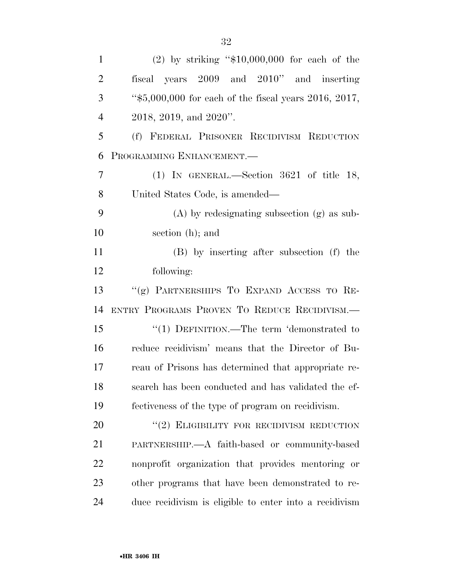| $\mathbf{1}$   | $(2)$ by striking "\$10,000,000 for each of the         |
|----------------|---------------------------------------------------------|
| $\overline{2}$ | fiscal years 2009 and 2010" and inserting               |
| 3              | " $$5,000,000$ for each of the fiscal years 2016, 2017, |
| $\overline{4}$ | $2018$ , $2019$ , and $2020$ ".                         |
| 5              | (f) FEDERAL PRISONER RECIDIVISM REDUCTION               |
| 6              | PROGRAMMING ENHANCEMENT.-                               |
| 7              | $(1)$ IN GENERAL.—Section 3621 of title 18,             |
| 8              | United States Code, is amended—                         |
| 9              | $(A)$ by redesignating subsection $(g)$ as sub-         |
| 10             | section (h); and                                        |
| 11             | (B) by inserting after subsection (f) the               |
| 12             | following:                                              |
| 13             | "(g) PARTNERSHIPS TO EXPAND ACCESS TO RE-               |
| 14             | ENTRY PROGRAMS PROVEN TO REDUCE RECIDIVISM.             |
| 15             | "(1) DEFINITION.—The term 'demonstrated to              |
| 16             | reduce recidivism' means that the Director of Bu-       |
| 17             | reau of Prisons has determined that appropriate re-     |
| 18             | search has been conducted and has validated the ef-     |
| 19             | fectiveness of the type of program on recidivism.       |
| 20             | $``(2)$ ELIGIBILITY FOR RECIDIVISM REDUCTION            |
| 21             | PARTNERSHIP.—A faith-based or community-based           |
| 22             | nonprofit organization that provides mentoring or       |
|                |                                                         |
| 23             | other programs that have been demonstrated to re-       |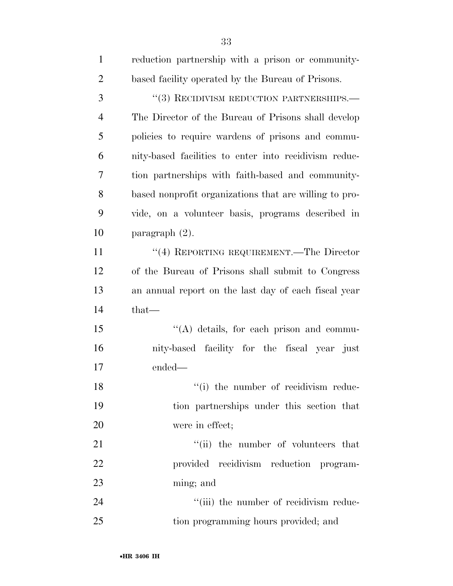| $\mathbf{1}$   | reduction partnership with a prison or community-      |
|----------------|--------------------------------------------------------|
| $\overline{2}$ | based facility operated by the Bureau of Prisons.      |
| 3              | $``(3)$ RECIDIVISM REDUCTION PARTNERSHIPS.—            |
| $\overline{4}$ | The Director of the Bureau of Prisons shall develop    |
| 5              | policies to require wardens of prisons and commu-      |
| 6              | nity-based facilities to enter into recidivism reduc-  |
| 7              | tion partnerships with faith-based and community-      |
| 8              | based nonprofit organizations that are willing to pro- |
| 9              | vide, on a volunteer basis, programs described in      |
| 10             | paragraph $(2)$ .                                      |
| 11             | "(4) REPORTING REQUIREMENT.—The Director               |
| 12             | of the Bureau of Prisons shall submit to Congress      |
| 13             | an annual report on the last day of each fiscal year   |
| 14             | that-                                                  |
| 15             | $\lq\lq$ details, for each prison and commu-           |
| 16             | nity-based facility for the fiscal year just           |
| 17             | ended-                                                 |
| 18             | "(i) the number of recidivism reduc-                   |
| 19             | tion partnerships under this section that              |
| 20             | were in effect;                                        |
| 21             | "(ii) the number of volunteers that                    |
| 22             | provided recidivism reduction program-                 |
| 23             | ming; and                                              |
| 24             | "(iii) the number of recidivism reduc-                 |
| 25             | tion programming hours provided; and                   |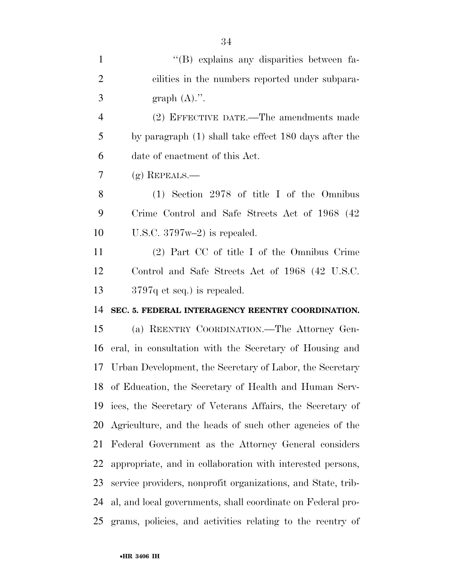| $\mathbf{1}$   | "(B) explains any disparities between fa-                    |
|----------------|--------------------------------------------------------------|
| $\overline{2}$ | cilities in the numbers reported under subpara-              |
| 3              | graph $(A)$ .".                                              |
| $\overline{4}$ | (2) EFFECTIVE DATE.—The amendments made                      |
| 5              | by paragraph (1) shall take effect 180 days after the        |
| 6              | date of enactment of this Act.                               |
| 7              | $(g)$ REPEALS.—                                              |
| 8              | $(1)$ Section 2978 of title I of the Omnibus                 |
| 9              | Crime Control and Safe Streets Act of 1968 (42               |
| 10             | U.S.C. $3797w-2$ is repealed.                                |
| 11             | (2) Part CC of title I of the Omnibus Crime                  |
| 12             | Control and Safe Streets Act of 1968 (42 U.S.C.              |
| 13             | $3797q$ et seq.) is repealed.                                |
| 14             | SEC. 5. FEDERAL INTERAGENCY REENTRY COORDINATION.            |
| 15             | (a) REENTRY COORDINATION.—The Attorney Gen-                  |
| 16             | eral, in consultation with the Secretary of Housing and      |
| 17             | Urban Development, the Secretary of Labor, the Secretary     |
| 18             | of Education, the Secretary of Health and Human Serv-        |
| 19             | ices, the Secretary of Veterans Affairs, the Secretary of    |
| 20             | Agriculture, and the heads of such other agencies of the     |
| 21             | Federal Government as the Attorney General considers         |
| 22             | appropriate, and in collaboration with interested persons,   |
| 23             | service providers, nonprofit organizations, and State, trib- |
| 24             | al, and local governments, shall coordinate on Federal pro-  |
| 25             | grams, policies, and activities relating to the reentry of   |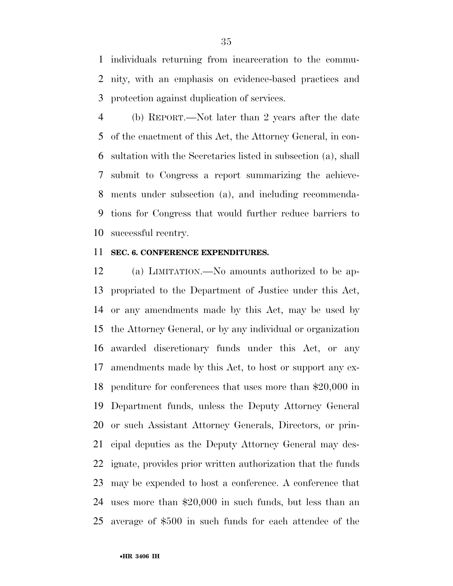individuals returning from incarceration to the commu- nity, with an emphasis on evidence-based practices and protection against duplication of services.

 (b) REPORT.—Not later than 2 years after the date of the enactment of this Act, the Attorney General, in con- sultation with the Secretaries listed in subsection (a), shall submit to Congress a report summarizing the achieve- ments under subsection (a), and including recommenda- tions for Congress that would further reduce barriers to successful reentry.

### **SEC. 6. CONFERENCE EXPENDITURES.**

 (a) LIMITATION.—No amounts authorized to be ap- propriated to the Department of Justice under this Act, or any amendments made by this Act, may be used by the Attorney General, or by any individual or organization awarded discretionary funds under this Act, or any amendments made by this Act, to host or support any ex- penditure for conferences that uses more than \$20,000 in Department funds, unless the Deputy Attorney General or such Assistant Attorney Generals, Directors, or prin- cipal deputies as the Deputy Attorney General may des- ignate, provides prior written authorization that the funds may be expended to host a conference. A conference that uses more than \$20,000 in such funds, but less than an average of \$500 in such funds for each attendee of the